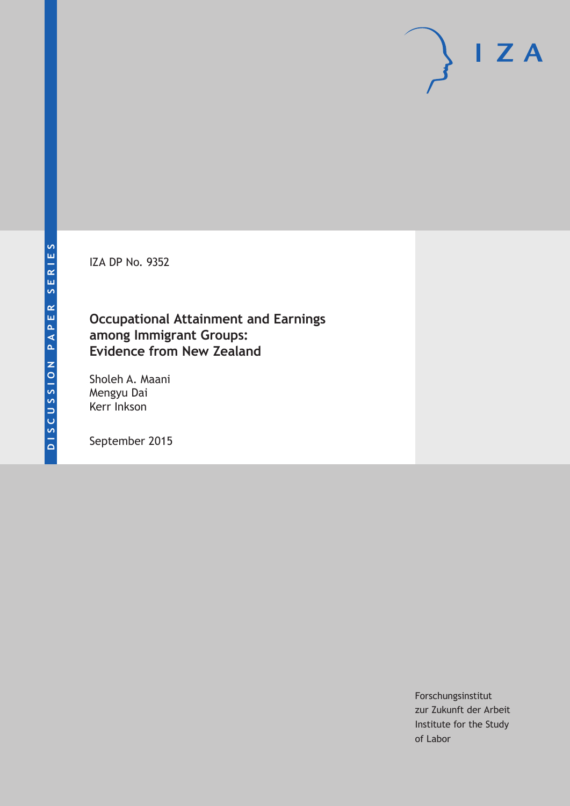IZA DP No. 9352

# **Occupational Attainment and Earnings among Immigrant Groups: Evidence from New Zealand**

Sholeh A. Maani Mengyu Dai Kerr Inkson

September 2015

Forschungsinstitut zur Zukunft der Arbeit Institute for the Study of Labor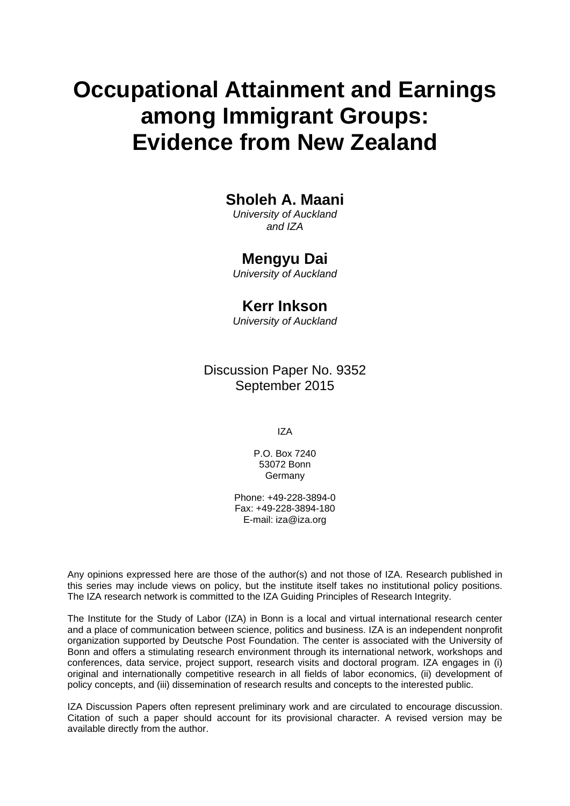# **Occupational Attainment and Earnings among Immigrant Groups: Evidence from New Zealand**

# **Sholeh A. Maani**

*University of Auckland and IZA* 

# **Mengyu Dai**

*University of Auckland* 

## **Kerr Inkson**

*University of Auckland*

Discussion Paper No. 9352 September 2015

IZA

P.O. Box 7240 53072 Bonn **Germany** 

Phone: +49-228-3894-0 Fax: +49-228-3894-180 E-mail: iza@iza.org

Any opinions expressed here are those of the author(s) and not those of IZA. Research published in this series may include views on policy, but the institute itself takes no institutional policy positions. The IZA research network is committed to the IZA Guiding Principles of Research Integrity.

The Institute for the Study of Labor (IZA) in Bonn is a local and virtual international research center and a place of communication between science, politics and business. IZA is an independent nonprofit organization supported by Deutsche Post Foundation. The center is associated with the University of Bonn and offers a stimulating research environment through its international network, workshops and conferences, data service, project support, research visits and doctoral program. IZA engages in (i) original and internationally competitive research in all fields of labor economics, (ii) development of policy concepts, and (iii) dissemination of research results and concepts to the interested public.

IZA Discussion Papers often represent preliminary work and are circulated to encourage discussion. Citation of such a paper should account for its provisional character. A revised version may be available directly from the author.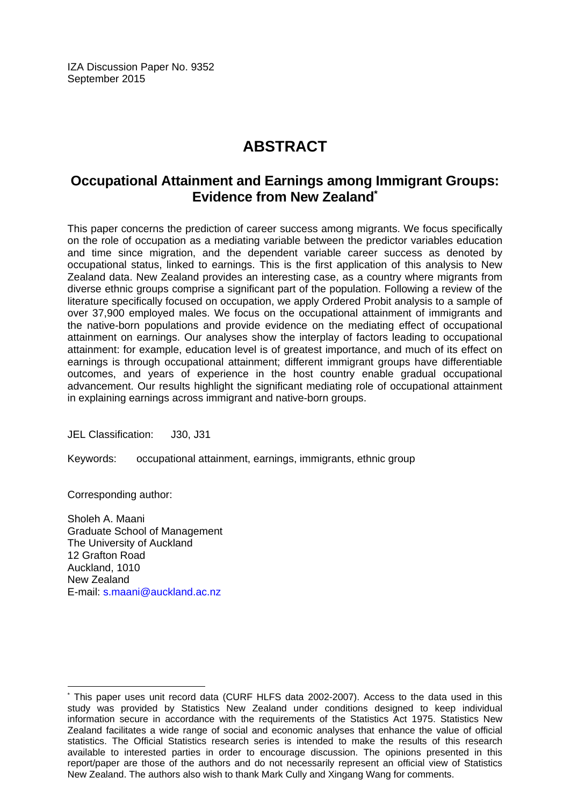IZA Discussion Paper No. 9352 September 2015

# **ABSTRACT**

# **Occupational Attainment and Earnings among Immigrant Groups: Evidence from New Zealand\***

This paper concerns the prediction of career success among migrants. We focus specifically on the role of occupation as a mediating variable between the predictor variables education and time since migration, and the dependent variable career success as denoted by occupational status, linked to earnings. This is the first application of this analysis to New Zealand data. New Zealand provides an interesting case, as a country where migrants from diverse ethnic groups comprise a significant part of the population. Following a review of the literature specifically focused on occupation, we apply Ordered Probit analysis to a sample of over 37,900 employed males. We focus on the occupational attainment of immigrants and the native-born populations and provide evidence on the mediating effect of occupational attainment on earnings. Our analyses show the interplay of factors leading to occupational attainment: for example, education level is of greatest importance, and much of its effect on earnings is through occupational attainment; different immigrant groups have differentiable outcomes, and years of experience in the host country enable gradual occupational advancement. Our results highlight the significant mediating role of occupational attainment in explaining earnings across immigrant and native-born groups.

JEL Classification: J30, J31

Keywords: occupational attainment, earnings, immigrants, ethnic group

Corresponding author:

 $\overline{a}$ 

Sholeh A. Maani Graduate School of Management The University of Auckland 12 Grafton Road Auckland, 1010 New Zealand E-mail: s.maani@auckland.ac.nz

<sup>\*</sup> This paper uses unit record data (CURF HLFS data 2002-2007). Access to the data used in this study was provided by Statistics New Zealand under conditions designed to keep individual information secure in accordance with the requirements of the Statistics Act 1975. Statistics New Zealand facilitates a wide range of social and economic analyses that enhance the value of official statistics. The Official Statistics research series is intended to make the results of this research available to interested parties in order to encourage discussion. The opinions presented in this report/paper are those of the authors and do not necessarily represent an official view of Statistics New Zealand. The authors also wish to thank Mark Cully and Xingang Wang for comments.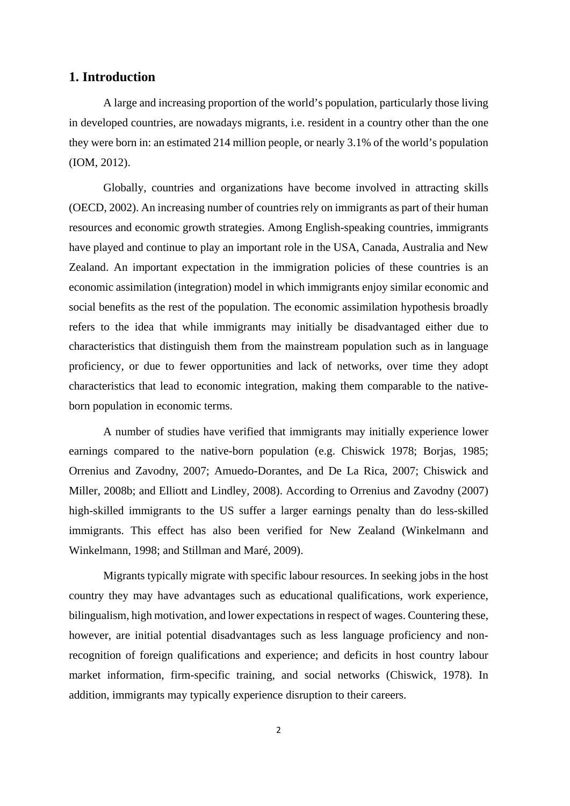#### **1. Introduction**

A large and increasing proportion of the world's population, particularly those living in developed countries, are nowadays migrants, i.e. resident in a country other than the one they were born in: an estimated 214 million people, or nearly 3.1% of the world's population (IOM, 2012).

Globally, countries and organizations have become involved in attracting skills (OECD, 2002). An increasing number of countries rely on immigrants as part of their human resources and economic growth strategies. Among English-speaking countries, immigrants have played and continue to play an important role in the USA, Canada, Australia and New Zealand. An important expectation in the immigration policies of these countries is an economic assimilation (integration) model in which immigrants enjoy similar economic and social benefits as the rest of the population. The economic assimilation hypothesis broadly refers to the idea that while immigrants may initially be disadvantaged either due to characteristics that distinguish them from the mainstream population such as in language proficiency, or due to fewer opportunities and lack of networks, over time they adopt characteristics that lead to economic integration, making them comparable to the nativeborn population in economic terms.

A number of studies have verified that immigrants may initially experience lower earnings compared to the native-born population (e.g. Chiswick 1978; Borjas, 1985; Orrenius and Zavodny, 2007; Amuedo-Dorantes, and De La Rica, 2007; Chiswick and Miller, 2008b; and Elliott and Lindley, 2008). According to Orrenius and Zavodny (2007) high-skilled immigrants to the US suffer a larger earnings penalty than do less-skilled immigrants. This effect has also been verified for New Zealand (Winkelmann and Winkelmann, 1998; and Stillman and Maré, 2009).

Migrants typically migrate with specific labour resources. In seeking jobs in the host country they may have advantages such as educational qualifications, work experience, bilingualism, high motivation, and lower expectations in respect of wages. Countering these, however, are initial potential disadvantages such as less language proficiency and nonrecognition of foreign qualifications and experience; and deficits in host country labour market information, firm-specific training, and social networks (Chiswick, 1978). In addition, immigrants may typically experience disruption to their careers.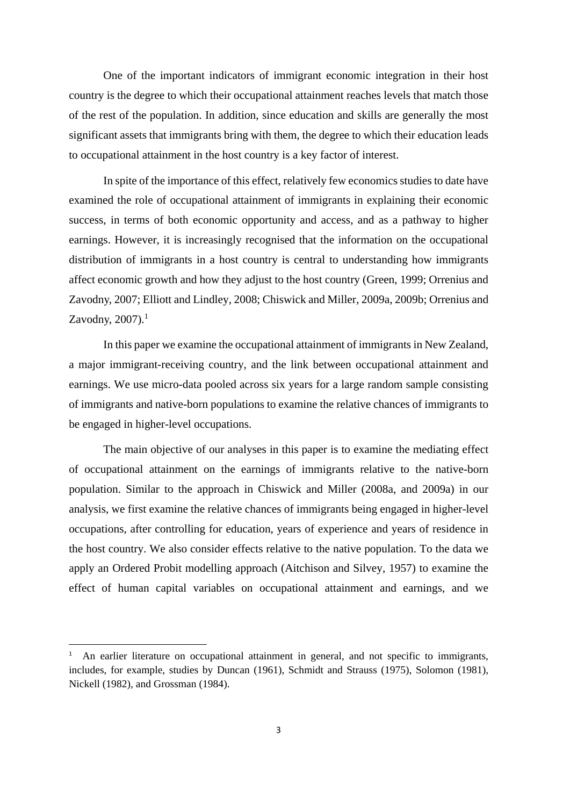One of the important indicators of immigrant economic integration in their host country is the degree to which their occupational attainment reaches levels that match those of the rest of the population. In addition, since education and skills are generally the most significant assets that immigrants bring with them, the degree to which their education leads to occupational attainment in the host country is a key factor of interest.

In spite of the importance of this effect, relatively few economics studies to date have examined the role of occupational attainment of immigrants in explaining their economic success, in terms of both economic opportunity and access, and as a pathway to higher earnings. However, it is increasingly recognised that the information on the occupational distribution of immigrants in a host country is central to understanding how immigrants affect economic growth and how they adjust to the host country (Green, 1999; Orrenius and Zavodny, 2007; Elliott and Lindley, 2008; Chiswick and Miller, 2009a, 2009b; Orrenius and Zavodny,  $2007$ ). $<sup>1</sup>$ </sup>

In this paper we examine the occupational attainment of immigrants in New Zealand, a major immigrant-receiving country, and the link between occupational attainment and earnings. We use micro-data pooled across six years for a large random sample consisting of immigrants and native-born populations to examine the relative chances of immigrants to be engaged in higher-level occupations.

The main objective of our analyses in this paper is to examine the mediating effect of occupational attainment on the earnings of immigrants relative to the native-born population. Similar to the approach in Chiswick and Miller (2008a, and 2009a) in our analysis, we first examine the relative chances of immigrants being engaged in higher-level occupations, after controlling for education, years of experience and years of residence in the host country. We also consider effects relative to the native population. To the data we apply an Ordered Probit modelling approach (Aitchison and Silvey, 1957) to examine the effect of human capital variables on occupational attainment and earnings, and we

<sup>1</sup> An earlier literature on occupational attainment in general, and not specific to immigrants, includes, for example, studies by Duncan (1961), Schmidt and Strauss (1975), Solomon (1981), Nickell (1982), and Grossman (1984).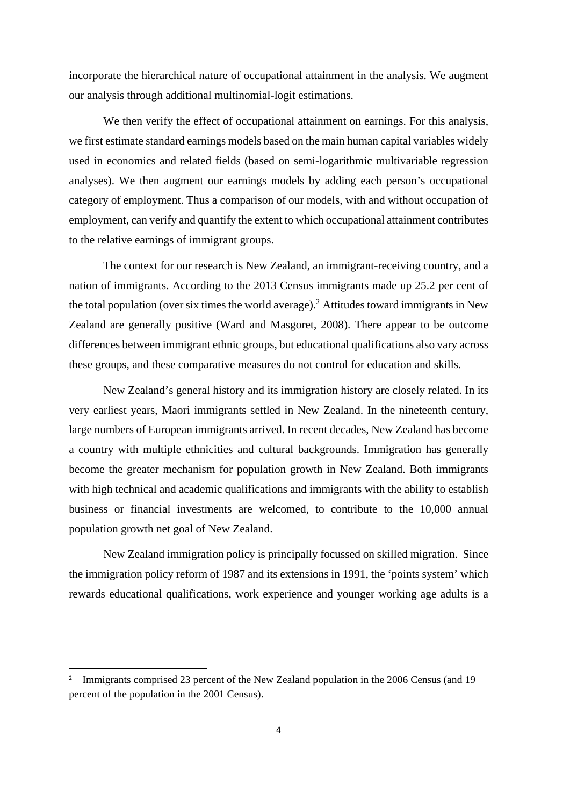incorporate the hierarchical nature of occupational attainment in the analysis. We augment our analysis through additional multinomial-logit estimations.

We then verify the effect of occupational attainment on earnings. For this analysis, we first estimate standard earnings models based on the main human capital variables widely used in economics and related fields (based on semi-logarithmic multivariable regression analyses). We then augment our earnings models by adding each person's occupational category of employment. Thus a comparison of our models, with and without occupation of employment, can verify and quantify the extent to which occupational attainment contributes to the relative earnings of immigrant groups.

The context for our research is New Zealand, an immigrant-receiving country, and a nation of immigrants. According to the 2013 Census immigrants made up 25.2 per cent of the total population (over six times the world average).<sup>2</sup> Attitudes toward immigrants in New Zealand are generally positive (Ward and Masgoret, 2008). There appear to be outcome differences between immigrant ethnic groups, but educational qualifications also vary across these groups, and these comparative measures do not control for education and skills.

New Zealand's general history and its immigration history are closely related. In its very earliest years, Maori immigrants settled in New Zealand. In the nineteenth century, large numbers of European immigrants arrived. In recent decades, New Zealand has become a country with multiple ethnicities and cultural backgrounds. Immigration has generally become the greater mechanism for population growth in New Zealand. Both immigrants with high technical and academic qualifications and immigrants with the ability to establish business or financial investments are welcomed, to contribute to the 10,000 annual population growth net goal of New Zealand.

New Zealand immigration policy is principally focussed on skilled migration. Since the immigration policy reform of 1987 and its extensions in 1991, the 'points system' which rewards educational qualifications, work experience and younger working age adults is a

<sup>&</sup>lt;sup>2</sup> Immigrants comprised 23 percent of the New Zealand population in the 2006 Census (and 19 percent of the population in the 2001 Census).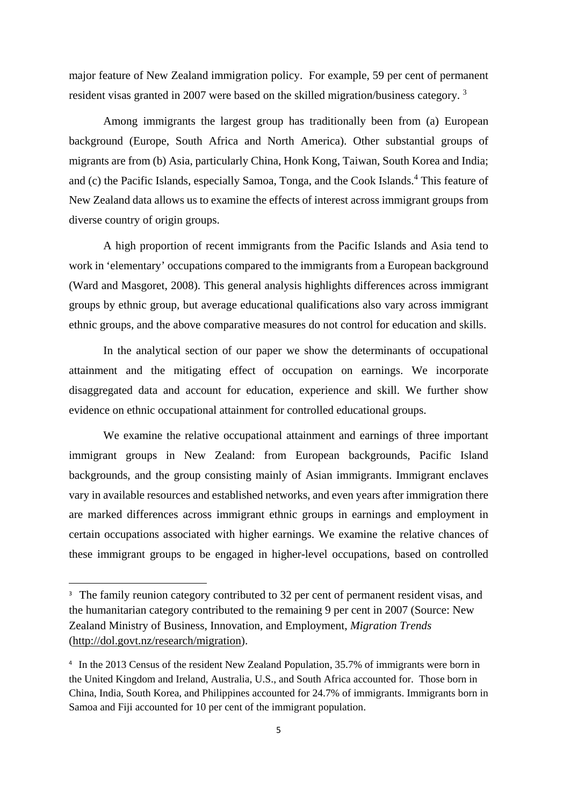major feature of New Zealand immigration policy. For example, 59 per cent of permanent resident visas granted in 2007 were based on the skilled migration/business category.<sup>3</sup>

Among immigrants the largest group has traditionally been from (a) European background (Europe, South Africa and North America). Other substantial groups of migrants are from (b) Asia, particularly China, Honk Kong, Taiwan, South Korea and India; and (c) the Pacific Islands, especially Samoa, Tonga, and the Cook Islands.<sup>4</sup> This feature of New Zealand data allows us to examine the effects of interest across immigrant groups from diverse country of origin groups.

A high proportion of recent immigrants from the Pacific Islands and Asia tend to work in 'elementary' occupations compared to the immigrants from a European background (Ward and Masgoret, 2008). This general analysis highlights differences across immigrant groups by ethnic group, but average educational qualifications also vary across immigrant ethnic groups, and the above comparative measures do not control for education and skills.

In the analytical section of our paper we show the determinants of occupational attainment and the mitigating effect of occupation on earnings. We incorporate disaggregated data and account for education, experience and skill. We further show evidence on ethnic occupational attainment for controlled educational groups.

We examine the relative occupational attainment and earnings of three important immigrant groups in New Zealand: from European backgrounds, Pacific Island backgrounds, and the group consisting mainly of Asian immigrants. Immigrant enclaves vary in available resources and established networks, and even years after immigration there are marked differences across immigrant ethnic groups in earnings and employment in certain occupations associated with higher earnings. We examine the relative chances of these immigrant groups to be engaged in higher-level occupations, based on controlled

<sup>&</sup>lt;sup>3</sup> The family reunion category contributed to 32 per cent of permanent resident visas, and the humanitarian category contributed to the remaining 9 per cent in 2007 (Source: New Zealand Ministry of Business, Innovation, and Employment, *Migration Trends*  (http://dol.govt.nz/research/migration).

<sup>&</sup>lt;sup>4</sup> In the 2013 Census of the resident New Zealand Population, 35.7% of immigrants were born in the United Kingdom and Ireland, Australia, U.S., and South Africa accounted for. Those born in China, India, South Korea, and Philippines accounted for 24.7% of immigrants. Immigrants born in Samoa and Fiji accounted for 10 per cent of the immigrant population.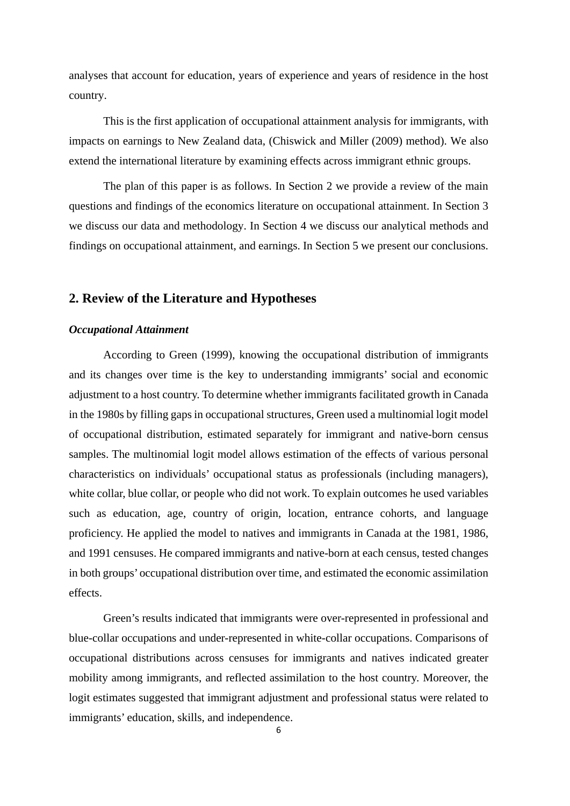analyses that account for education, years of experience and years of residence in the host country.

This is the first application of occupational attainment analysis for immigrants, with impacts on earnings to New Zealand data, (Chiswick and Miller (2009) method). We also extend the international literature by examining effects across immigrant ethnic groups.

The plan of this paper is as follows. In Section 2 we provide a review of the main questions and findings of the economics literature on occupational attainment. In Section 3 we discuss our data and methodology. In Section 4 we discuss our analytical methods and findings on occupational attainment, and earnings. In Section 5 we present our conclusions.

## **2. Review of the Literature and Hypotheses**

#### *Occupational Attainment*

According to Green (1999), knowing the occupational distribution of immigrants and its changes over time is the key to understanding immigrants' social and economic adjustment to a host country. To determine whether immigrants facilitated growth in Canada in the 1980s by filling gaps in occupational structures, Green used a multinomial logit model of occupational distribution, estimated separately for immigrant and native-born census samples. The multinomial logit model allows estimation of the effects of various personal characteristics on individuals' occupational status as professionals (including managers), white collar, blue collar, or people who did not work. To explain outcomes he used variables such as education, age, country of origin, location, entrance cohorts, and language proficiency. He applied the model to natives and immigrants in Canada at the 1981, 1986, and 1991 censuses. He compared immigrants and native-born at each census, tested changes in both groups' occupational distribution over time, and estimated the economic assimilation effects.

Green's results indicated that immigrants were over-represented in professional and blue-collar occupations and under-represented in white-collar occupations. Comparisons of occupational distributions across censuses for immigrants and natives indicated greater mobility among immigrants, and reflected assimilation to the host country. Moreover, the logit estimates suggested that immigrant adjustment and professional status were related to immigrants' education, skills, and independence.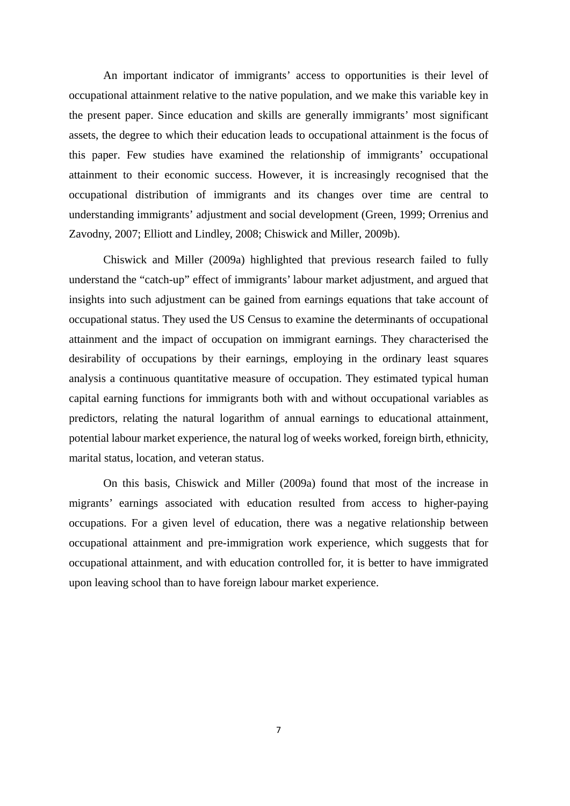An important indicator of immigrants' access to opportunities is their level of occupational attainment relative to the native population, and we make this variable key in the present paper. Since education and skills are generally immigrants' most significant assets, the degree to which their education leads to occupational attainment is the focus of this paper. Few studies have examined the relationship of immigrants' occupational attainment to their economic success. However, it is increasingly recognised that the occupational distribution of immigrants and its changes over time are central to understanding immigrants' adjustment and social development (Green, 1999; Orrenius and Zavodny, 2007; Elliott and Lindley, 2008; Chiswick and Miller, 2009b).

Chiswick and Miller (2009a) highlighted that previous research failed to fully understand the "catch-up" effect of immigrants' labour market adjustment, and argued that insights into such adjustment can be gained from earnings equations that take account of occupational status. They used the US Census to examine the determinants of occupational attainment and the impact of occupation on immigrant earnings. They characterised the desirability of occupations by their earnings, employing in the ordinary least squares analysis a continuous quantitative measure of occupation. They estimated typical human capital earning functions for immigrants both with and without occupational variables as predictors, relating the natural logarithm of annual earnings to educational attainment, potential labour market experience, the natural log of weeks worked, foreign birth, ethnicity, marital status, location, and veteran status.

On this basis, Chiswick and Miller (2009a) found that most of the increase in migrants' earnings associated with education resulted from access to higher-paying occupations. For a given level of education, there was a negative relationship between occupational attainment and pre-immigration work experience, which suggests that for occupational attainment, and with education controlled for, it is better to have immigrated upon leaving school than to have foreign labour market experience.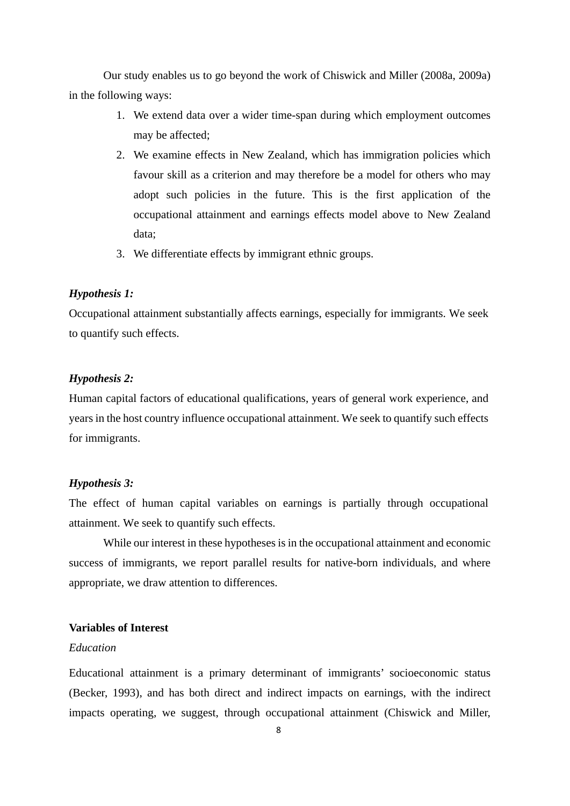Our study enables us to go beyond the work of Chiswick and Miller (2008a, 2009a) in the following ways:

- 1. We extend data over a wider time-span during which employment outcomes may be affected;
- 2. We examine effects in New Zealand, which has immigration policies which favour skill as a criterion and may therefore be a model for others who may adopt such policies in the future. This is the first application of the occupational attainment and earnings effects model above to New Zealand data;
- 3. We differentiate effects by immigrant ethnic groups.

#### *Hypothesis 1:*

Occupational attainment substantially affects earnings, especially for immigrants. We seek to quantify such effects.

#### *Hypothesis 2:*

Human capital factors of educational qualifications, years of general work experience, and years in the host country influence occupational attainment. We seek to quantify such effects for immigrants.

#### *Hypothesis 3:*

The effect of human capital variables on earnings is partially through occupational attainment. We seek to quantify such effects.

While our interest in these hypotheses is in the occupational attainment and economic success of immigrants, we report parallel results for native-born individuals, and where appropriate, we draw attention to differences.

#### **Variables of Interest**

#### *Education*

Educational attainment is a primary determinant of immigrants' socioeconomic status (Becker, 1993), and has both direct and indirect impacts on earnings, with the indirect impacts operating, we suggest, through occupational attainment (Chiswick and Miller,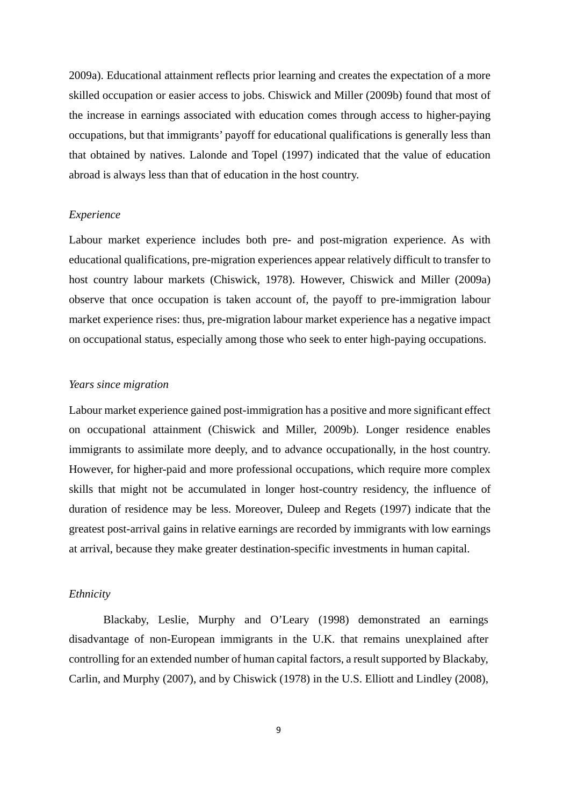2009a). Educational attainment reflects prior learning and creates the expectation of a more skilled occupation or easier access to jobs. Chiswick and Miller (2009b) found that most of the increase in earnings associated with education comes through access to higher-paying occupations, but that immigrants' payoff for educational qualifications is generally less than that obtained by natives. Lalonde and Topel (1997) indicated that the value of education abroad is always less than that of education in the host country.

#### *Experience*

Labour market experience includes both pre- and post-migration experience. As with educational qualifications, pre-migration experiences appear relatively difficult to transfer to host country labour markets (Chiswick, 1978). However, Chiswick and Miller (2009a) observe that once occupation is taken account of, the payoff to pre-immigration labour market experience rises: thus, pre-migration labour market experience has a negative impact on occupational status, especially among those who seek to enter high-paying occupations.

#### *Years since migration*

Labour market experience gained post-immigration has a positive and more significant effect on occupational attainment (Chiswick and Miller, 2009b). Longer residence enables immigrants to assimilate more deeply, and to advance occupationally, in the host country. However, for higher-paid and more professional occupations, which require more complex skills that might not be accumulated in longer host-country residency, the influence of duration of residence may be less. Moreover, Duleep and Regets (1997) indicate that the greatest post-arrival gains in relative earnings are recorded by immigrants with low earnings at arrival, because they make greater destination-specific investments in human capital.

#### *Ethnicity*

Blackaby, Leslie, Murphy and O'Leary (1998) demonstrated an earnings disadvantage of non-European immigrants in the U.K. that remains unexplained after controlling for an extended number of human capital factors, a result supported by Blackaby, Carlin, and Murphy (2007), and by Chiswick (1978) in the U.S. Elliott and Lindley (2008),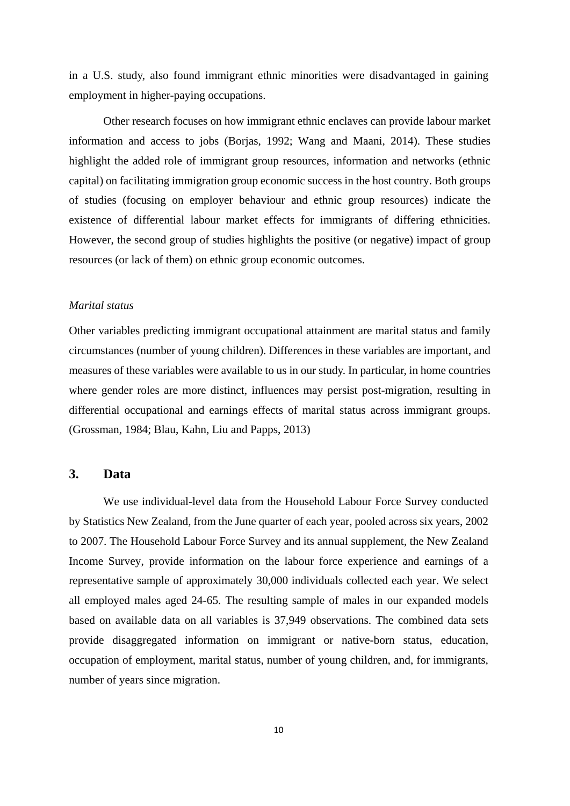in a U.S. study, also found immigrant ethnic minorities were disadvantaged in gaining employment in higher-paying occupations.

Other research focuses on how immigrant ethnic enclaves can provide labour market information and access to jobs (Borjas, 1992; Wang and Maani, 2014). These studies highlight the added role of immigrant group resources, information and networks (ethnic capital) on facilitating immigration group economic success in the host country. Both groups of studies (focusing on employer behaviour and ethnic group resources) indicate the existence of differential labour market effects for immigrants of differing ethnicities. However, the second group of studies highlights the positive (or negative) impact of group resources (or lack of them) on ethnic group economic outcomes.

#### *Marital status*

Other variables predicting immigrant occupational attainment are marital status and family circumstances (number of young children). Differences in these variables are important, and measures of these variables were available to us in our study. In particular, in home countries where gender roles are more distinct, influences may persist post-migration, resulting in differential occupational and earnings effects of marital status across immigrant groups. (Grossman, 1984; Blau, Kahn, Liu and Papps, 2013)

#### **3. Data**

We use individual-level data from the Household Labour Force Survey conducted by Statistics New Zealand, from the June quarter of each year, pooled across six years, 2002 to 2007. The Household Labour Force Survey and its annual supplement, the New Zealand Income Survey, provide information on the labour force experience and earnings of a representative sample of approximately 30,000 individuals collected each year. We select all employed males aged 24-65. The resulting sample of males in our expanded models based on available data on all variables is 37,949 observations. The combined data sets provide disaggregated information on immigrant or native-born status, education, occupation of employment, marital status, number of young children, and, for immigrants, number of years since migration.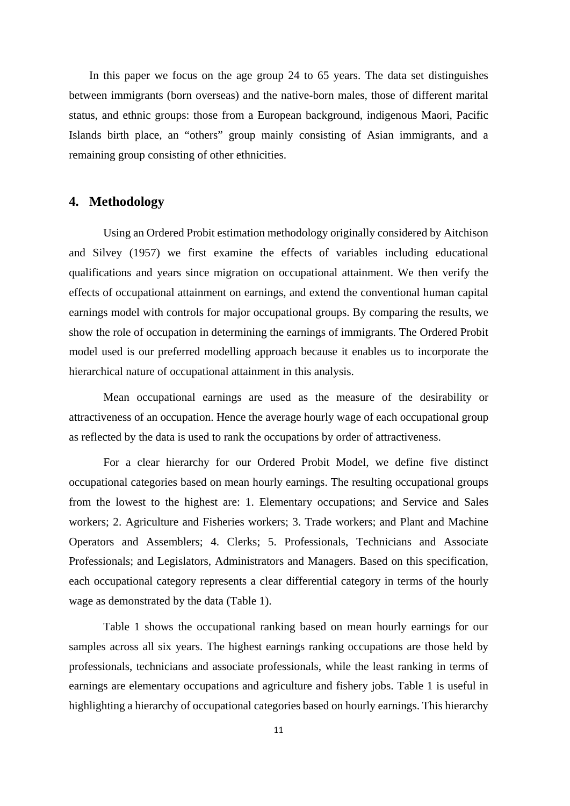In this paper we focus on the age group 24 to 65 years. The data set distinguishes between immigrants (born overseas) and the native-born males, those of different marital status, and ethnic groups: those from a European background, indigenous Maori, Pacific Islands birth place, an "others" group mainly consisting of Asian immigrants, and a remaining group consisting of other ethnicities.

#### **4. Methodology**

Using an Ordered Probit estimation methodology originally considered by Aitchison and Silvey (1957) we first examine the effects of variables including educational qualifications and years since migration on occupational attainment. We then verify the effects of occupational attainment on earnings, and extend the conventional human capital earnings model with controls for major occupational groups. By comparing the results, we show the role of occupation in determining the earnings of immigrants. The Ordered Probit model used is our preferred modelling approach because it enables us to incorporate the hierarchical nature of occupational attainment in this analysis.

Mean occupational earnings are used as the measure of the desirability or attractiveness of an occupation. Hence the average hourly wage of each occupational group as reflected by the data is used to rank the occupations by order of attractiveness.

For a clear hierarchy for our Ordered Probit Model, we define five distinct occupational categories based on mean hourly earnings. The resulting occupational groups from the lowest to the highest are: 1. Elementary occupations; and Service and Sales workers; 2. Agriculture and Fisheries workers; 3. Trade workers; and Plant and Machine Operators and Assemblers; 4. Clerks; 5. Professionals, Technicians and Associate Professionals; and Legislators, Administrators and Managers. Based on this specification, each occupational category represents a clear differential category in terms of the hourly wage as demonstrated by the data (Table 1).

Table 1 shows the occupational ranking based on mean hourly earnings for our samples across all six years. The highest earnings ranking occupations are those held by professionals, technicians and associate professionals, while the least ranking in terms of earnings are elementary occupations and agriculture and fishery jobs. Table 1 is useful in highlighting a hierarchy of occupational categories based on hourly earnings. This hierarchy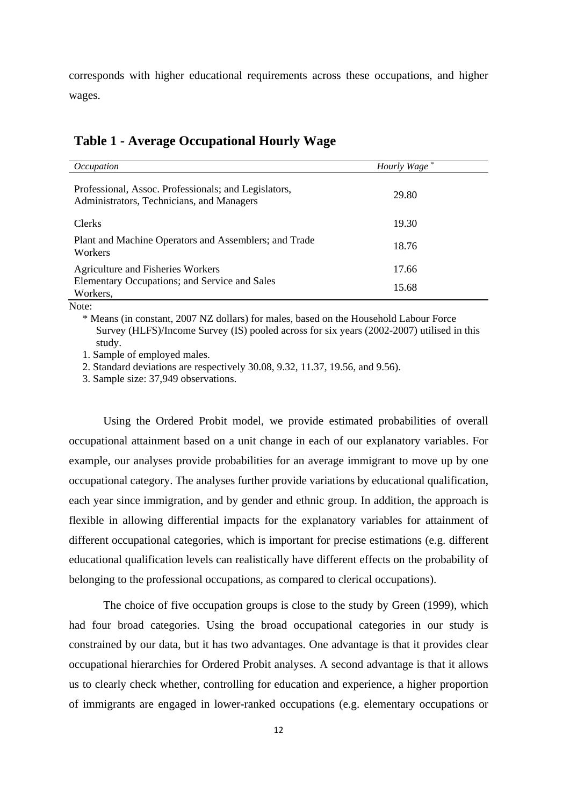corresponds with higher educational requirements across these occupations, and higher wages.

| <i>Occupation</i>                                                                                 | Hourly Wage* |
|---------------------------------------------------------------------------------------------------|--------------|
| Professional, Assoc. Professionals; and Legislators,<br>Administrators, Technicians, and Managers | 29.80        |
| Clerks                                                                                            | 19.30        |
| Plant and Machine Operators and Assemblers; and Trade<br>Workers                                  | 18.76        |
| <b>Agriculture and Fisheries Workers</b>                                                          | 17.66        |
| Elementary Occupations; and Service and Sales<br>Workers,                                         | 15.68        |

## **Table 1 - Average Occupational Hourly Wage**

Note:

\* Means (in constant, 2007 NZ dollars) for males, based on the Household Labour Force Survey (HLFS)/Income Survey (IS) pooled across for six years (2002-2007) utilised in this study.

1. Sample of employed males.

2. Standard deviations are respectively 30.08, 9.32, 11.37, 19.56, and 9.56).

3. Sample size: 37,949 observations.

Using the Ordered Probit model, we provide estimated probabilities of overall occupational attainment based on a unit change in each of our explanatory variables. For example, our analyses provide probabilities for an average immigrant to move up by one occupational category. The analyses further provide variations by educational qualification, each year since immigration, and by gender and ethnic group. In addition, the approach is flexible in allowing differential impacts for the explanatory variables for attainment of different occupational categories, which is important for precise estimations (e.g. different educational qualification levels can realistically have different effects on the probability of belonging to the professional occupations, as compared to clerical occupations).

The choice of five occupation groups is close to the study by Green (1999), which had four broad categories. Using the broad occupational categories in our study is constrained by our data, but it has two advantages. One advantage is that it provides clear occupational hierarchies for Ordered Probit analyses. A second advantage is that it allows us to clearly check whether, controlling for education and experience, a higher proportion of immigrants are engaged in lower-ranked occupations (e.g. elementary occupations or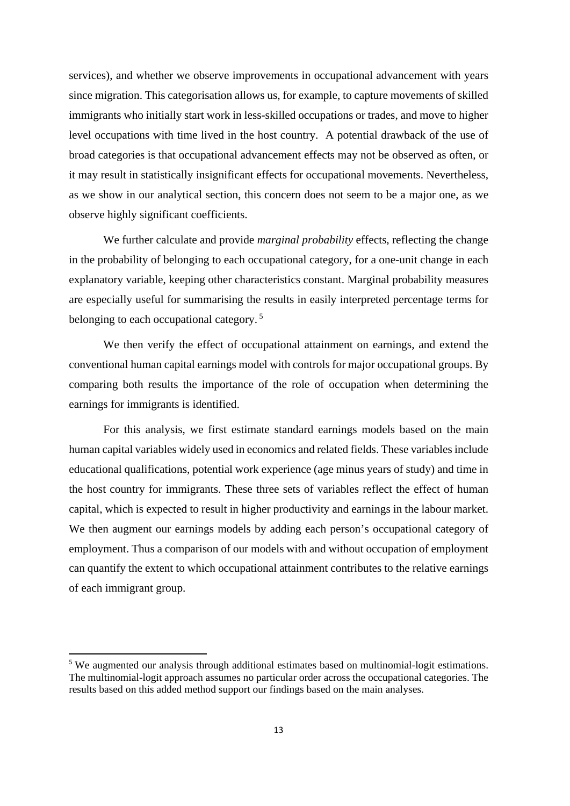services), and whether we observe improvements in occupational advancement with years since migration. This categorisation allows us, for example, to capture movements of skilled immigrants who initially start work in less-skilled occupations or trades, and move to higher level occupations with time lived in the host country. A potential drawback of the use of broad categories is that occupational advancement effects may not be observed as often, or it may result in statistically insignificant effects for occupational movements. Nevertheless, as we show in our analytical section, this concern does not seem to be a major one, as we observe highly significant coefficients.

We further calculate and provide *marginal probability* effects, reflecting the change in the probability of belonging to each occupational category, for a one-unit change in each explanatory variable, keeping other characteristics constant. Marginal probability measures are especially useful for summarising the results in easily interpreted percentage terms for belonging to each occupational category.<sup>5</sup>

We then verify the effect of occupational attainment on earnings, and extend the conventional human capital earnings model with controls for major occupational groups. By comparing both results the importance of the role of occupation when determining the earnings for immigrants is identified.

For this analysis, we first estimate standard earnings models based on the main human capital variables widely used in economics and related fields. These variables include educational qualifications, potential work experience (age minus years of study) and time in the host country for immigrants. These three sets of variables reflect the effect of human capital, which is expected to result in higher productivity and earnings in the labour market. We then augment our earnings models by adding each person's occupational category of employment. Thus a comparison of our models with and without occupation of employment can quantify the extent to which occupational attainment contributes to the relative earnings of each immigrant group.

<sup>&</sup>lt;sup>5</sup> We augmented our analysis through additional estimates based on multinomial-logit estimations. The multinomial-logit approach assumes no particular order across the occupational categories. The results based on this added method support our findings based on the main analyses.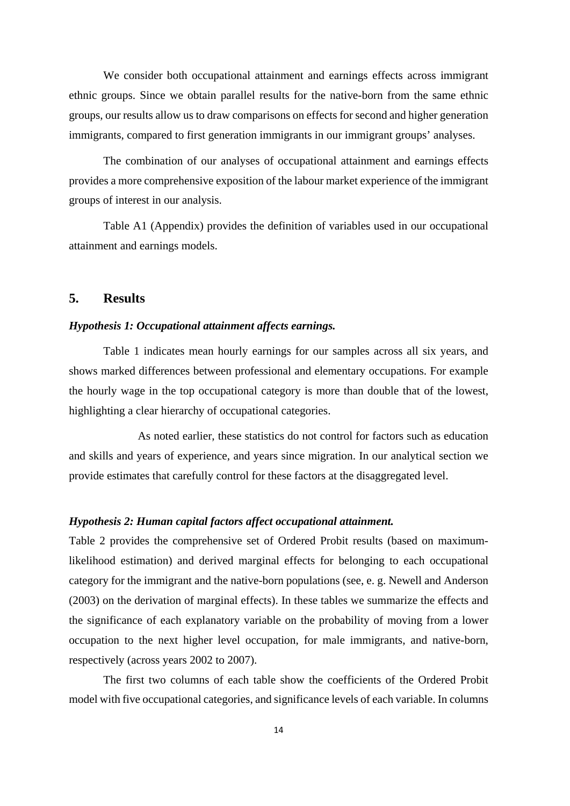We consider both occupational attainment and earnings effects across immigrant ethnic groups. Since we obtain parallel results for the native-born from the same ethnic groups, our results allow us to draw comparisons on effects for second and higher generation immigrants, compared to first generation immigrants in our immigrant groups' analyses.

The combination of our analyses of occupational attainment and earnings effects provides a more comprehensive exposition of the labour market experience of the immigrant groups of interest in our analysis.

Table A1 (Appendix) provides the definition of variables used in our occupational attainment and earnings models.

#### **5. Results**

#### *Hypothesis 1: Occupational attainment affects earnings.*

Table 1 indicates mean hourly earnings for our samples across all six years, and shows marked differences between professional and elementary occupations. For example the hourly wage in the top occupational category is more than double that of the lowest, highlighting a clear hierarchy of occupational categories.

 As noted earlier, these statistics do not control for factors such as education and skills and years of experience, and years since migration. In our analytical section we provide estimates that carefully control for these factors at the disaggregated level.

#### *Hypothesis 2: Human capital factors affect occupational attainment.*

Table 2 provides the comprehensive set of Ordered Probit results (based on maximumlikelihood estimation) and derived marginal effects for belonging to each occupational category for the immigrant and the native-born populations (see, e. g. Newell and Anderson (2003) on the derivation of marginal effects). In these tables we summarize the effects and the significance of each explanatory variable on the probability of moving from a lower occupation to the next higher level occupation, for male immigrants, and native-born, respectively (across years 2002 to 2007).

The first two columns of each table show the coefficients of the Ordered Probit model with five occupational categories, and significance levels of each variable. In columns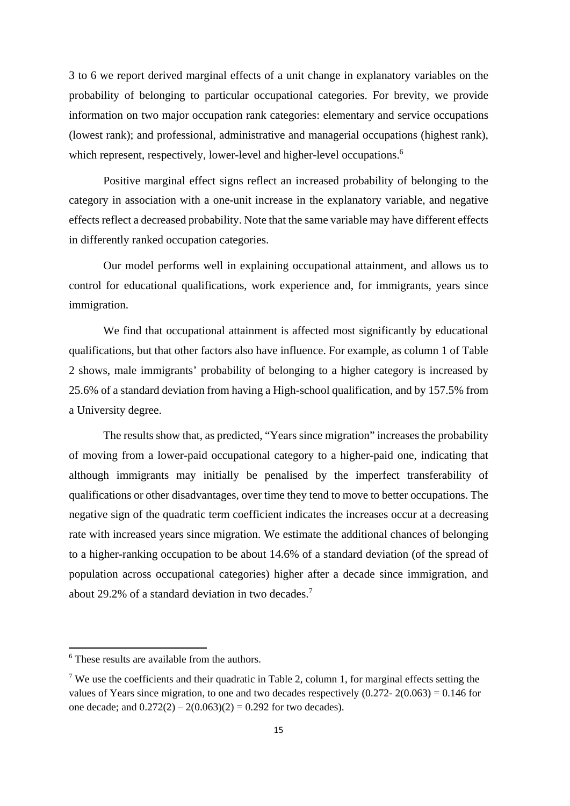3 to 6 we report derived marginal effects of a unit change in explanatory variables on the probability of belonging to particular occupational categories. For brevity, we provide information on two major occupation rank categories: elementary and service occupations (lowest rank); and professional, administrative and managerial occupations (highest rank), which represent, respectively, lower-level and higher-level occupations.<sup>6</sup>

Positive marginal effect signs reflect an increased probability of belonging to the category in association with a one-unit increase in the explanatory variable, and negative effects reflect a decreased probability. Note that the same variable may have different effects in differently ranked occupation categories.

Our model performs well in explaining occupational attainment, and allows us to control for educational qualifications, work experience and, for immigrants, years since immigration.

We find that occupational attainment is affected most significantly by educational qualifications, but that other factors also have influence. For example, as column 1 of Table 2 shows, male immigrants' probability of belonging to a higher category is increased by 25.6% of a standard deviation from having a High-school qualification, and by 157.5% from a University degree.

The results show that, as predicted, "Years since migration" increases the probability of moving from a lower-paid occupational category to a higher-paid one, indicating that although immigrants may initially be penalised by the imperfect transferability of qualifications or other disadvantages, over time they tend to move to better occupations. The negative sign of the quadratic term coefficient indicates the increases occur at a decreasing rate with increased years since migration. We estimate the additional chances of belonging to a higher-ranking occupation to be about 14.6% of a standard deviation (of the spread of population across occupational categories) higher after a decade since immigration, and about 29.2% of a standard deviation in two decades.7

<sup>6</sup> These results are available from the authors.

<sup>&</sup>lt;sup>7</sup> We use the coefficients and their quadratic in Table 2, column 1, for marginal effects setting the values of Years since migration, to one and two decades respectively  $(0.272 - 2(0.063) = 0.146$  for one decade; and  $0.272(2) - 2(0.063)(2) = 0.292$  for two decades).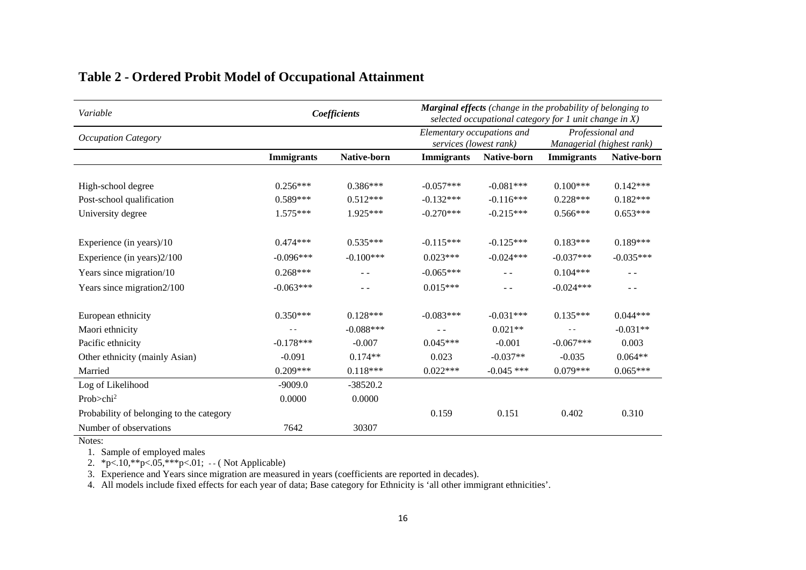| Variable                                 |                   | Coefficients       | <b>Marginal effects</b> (change in the probability of belonging to<br>selected occupational category for $1$ unit change in $X$ ) |              |                                               |             |
|------------------------------------------|-------------------|--------------------|-----------------------------------------------------------------------------------------------------------------------------------|--------------|-----------------------------------------------|-------------|
| <b>Occupation Category</b>               |                   |                    | Elementary occupations and<br>services (lowest rank)                                                                              |              | Professional and<br>Managerial (highest rank) |             |
|                                          | <b>Immigrants</b> | <b>Native-born</b> | <b>Immigrants</b>                                                                                                                 | Native-born  | <b>Immigrants</b>                             | Native-born |
|                                          |                   |                    |                                                                                                                                   |              |                                               |             |
| High-school degree                       | $0.256***$        | $0.386***$         | $-0.057***$                                                                                                                       | $-0.081***$  | $0.100***$                                    | $0.142***$  |
| Post-school qualification                | $0.589***$        | $0.512***$         | $-0.132***$                                                                                                                       | $-0.116***$  | $0.228***$                                    | $0.182***$  |
| University degree                        | $1.575***$        | $1.925***$         | $-0.270***$                                                                                                                       | $-0.215***$  | $0.566***$                                    | $0.653***$  |
|                                          |                   |                    |                                                                                                                                   |              |                                               |             |
| Experience (in years)/10                 | $0.474***$        | $0.535***$         | $-0.115***$                                                                                                                       | $-0.125***$  | $0.183***$                                    | $0.189***$  |
| Experience (in years) 2/100              | $-0.096***$       | $-0.100***$        | $0.023***$                                                                                                                        | $-0.024***$  | $-0.037***$                                   | $-0.035***$ |
| Years since migration/10                 | $0.268***$        | $ -$               | $-0.065***$                                                                                                                       | $ -$         | $0.104***$                                    | $ -$        |
| Years since migration2/100               | $-0.063***$       | - -                | $0.015***$                                                                                                                        | - -          | $-0.024***$                                   | $ -$        |
| European ethnicity                       | $0.350***$        | $0.128***$         | $-0.083***$                                                                                                                       | $-0.031***$  | $0.135***$                                    | $0.044***$  |
| Maori ethnicity                          |                   | $-0.088***$        |                                                                                                                                   | $0.021**$    |                                               | $-0.031**$  |
| Pacific ethnicity                        | $-0.178***$       | $-0.007$           | $0.045***$                                                                                                                        | $-0.001$     | $-0.067***$                                   | 0.003       |
| Other ethnicity (mainly Asian)           | $-0.091$          | $0.174**$          | 0.023                                                                                                                             | $-0.037**$   | $-0.035$                                      | $0.064**$   |
| Married                                  | $0.209***$        | $0.118***$         | $0.022***$                                                                                                                        | $-0.045$ *** | $0.079***$                                    | $0.065***$  |
| Log of Likelihood                        | $-9009.0$         | $-38520.2$         |                                                                                                                                   |              |                                               |             |
| Prob $>$ chi <sup>2</sup>                | 0.0000            | 0.0000             |                                                                                                                                   |              |                                               |             |
| Probability of belonging to the category |                   |                    | 0.159                                                                                                                             | 0.151        | 0.402                                         | 0.310       |
| Number of observations                   | 7642              | 30307              |                                                                                                                                   |              |                                               |             |

#### **Table 2 - Ordered Probit Model of Occupational Attainment**

Notes:

1. Sample of employed males

2. \*p<.10,\*\*p<.05,\*\*\*p<.01; - - ( Not Applicable)

3. Experience and Years since migration are measured in years (coefficients are reported in decades).

4. All models include fixed effects for each year of data; Base category for Ethnicity is 'all other immigrant ethnicities'.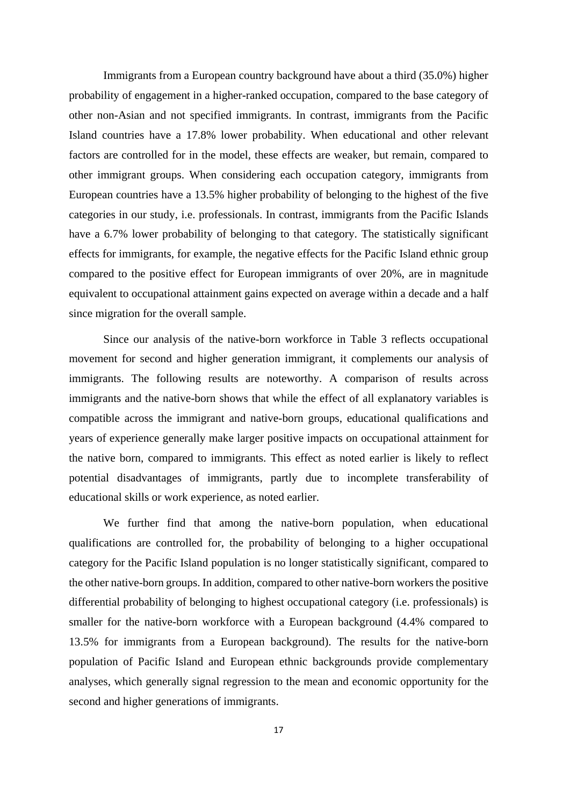Immigrants from a European country background have about a third (35.0%) higher probability of engagement in a higher-ranked occupation, compared to the base category of other non-Asian and not specified immigrants. In contrast, immigrants from the Pacific Island countries have a 17.8% lower probability. When educational and other relevant factors are controlled for in the model, these effects are weaker, but remain, compared to other immigrant groups. When considering each occupation category, immigrants from European countries have a 13.5% higher probability of belonging to the highest of the five categories in our study, i.e. professionals. In contrast, immigrants from the Pacific Islands have a 6.7% lower probability of belonging to that category. The statistically significant effects for immigrants, for example, the negative effects for the Pacific Island ethnic group compared to the positive effect for European immigrants of over 20%, are in magnitude equivalent to occupational attainment gains expected on average within a decade and a half since migration for the overall sample.

Since our analysis of the native-born workforce in Table 3 reflects occupational movement for second and higher generation immigrant, it complements our analysis of immigrants. The following results are noteworthy. A comparison of results across immigrants and the native-born shows that while the effect of all explanatory variables is compatible across the immigrant and native-born groups, educational qualifications and years of experience generally make larger positive impacts on occupational attainment for the native born, compared to immigrants. This effect as noted earlier is likely to reflect potential disadvantages of immigrants, partly due to incomplete transferability of educational skills or work experience, as noted earlier.

We further find that among the native-born population, when educational qualifications are controlled for, the probability of belonging to a higher occupational category for the Pacific Island population is no longer statistically significant, compared to the other native-born groups. In addition, compared to other native-born workers the positive differential probability of belonging to highest occupational category (i.e. professionals) is smaller for the native-born workforce with a European background (4.4% compared to 13.5% for immigrants from a European background). The results for the native-born population of Pacific Island and European ethnic backgrounds provide complementary analyses, which generally signal regression to the mean and economic opportunity for the second and higher generations of immigrants.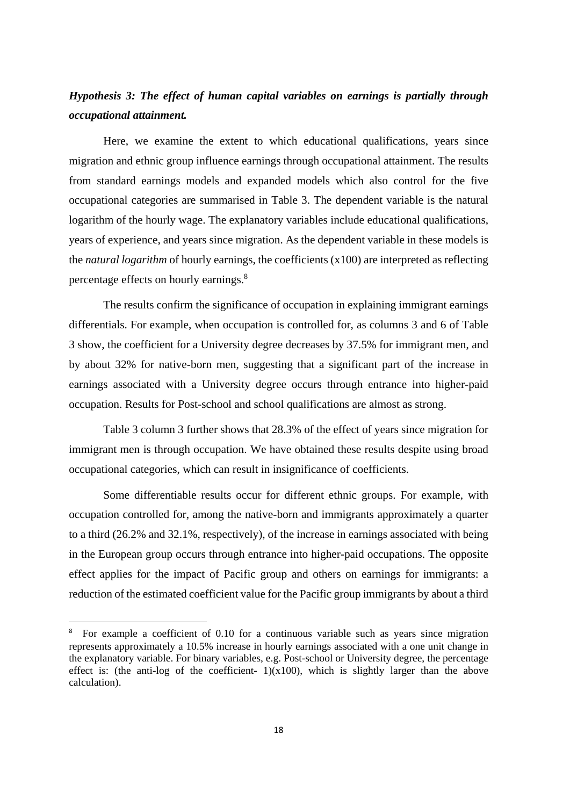# *Hypothesis 3: The effect of human capital variables on earnings is partially through occupational attainment.*

Here, we examine the extent to which educational qualifications, years since migration and ethnic group influence earnings through occupational attainment. The results from standard earnings models and expanded models which also control for the five occupational categories are summarised in Table 3. The dependent variable is the natural logarithm of the hourly wage. The explanatory variables include educational qualifications, years of experience, and years since migration. As the dependent variable in these models is the *natural logarithm* of hourly earnings, the coefficients (x100) are interpreted as reflecting percentage effects on hourly earnings.<sup>8</sup>

The results confirm the significance of occupation in explaining immigrant earnings differentials. For example, when occupation is controlled for, as columns 3 and 6 of Table 3 show, the coefficient for a University degree decreases by 37.5% for immigrant men, and by about 32% for native-born men, suggesting that a significant part of the increase in earnings associated with a University degree occurs through entrance into higher-paid occupation. Results for Post-school and school qualifications are almost as strong.

Table 3 column 3 further shows that 28.3% of the effect of years since migration for immigrant men is through occupation. We have obtained these results despite using broad occupational categories, which can result in insignificance of coefficients.

Some differentiable results occur for different ethnic groups. For example, with occupation controlled for, among the native-born and immigrants approximately a quarter to a third (26.2% and 32.1%, respectively), of the increase in earnings associated with being in the European group occurs through entrance into higher-paid occupations. The opposite effect applies for the impact of Pacific group and others on earnings for immigrants: a reduction of the estimated coefficient value for the Pacific group immigrants by about a third

<sup>8</sup> For example a coefficient of 0.10 for a continuous variable such as years since migration represents approximately a 10.5% increase in hourly earnings associated with a one unit change in the explanatory variable. For binary variables, e.g. Post-school or University degree, the percentage effect is: (the anti-log of the coefficient-  $1)(x100)$ , which is slightly larger than the above calculation).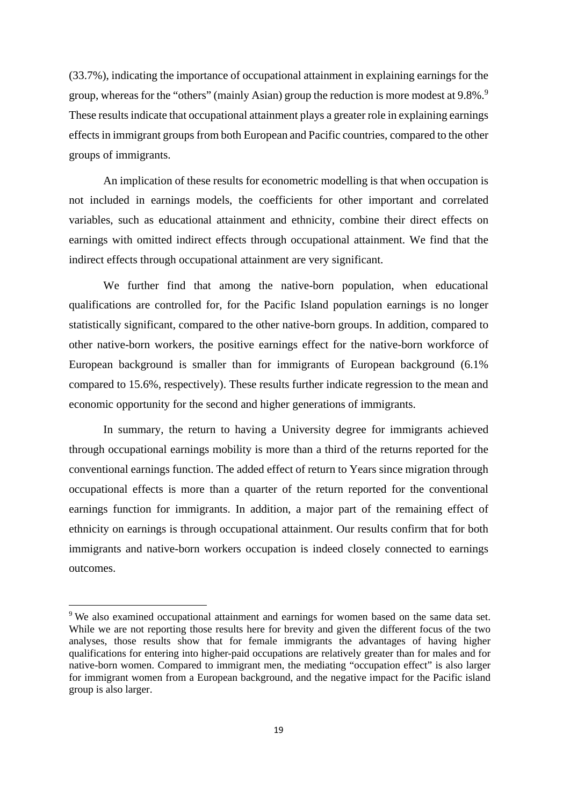(33.7%), indicating the importance of occupational attainment in explaining earnings for the group, whereas for the "others" (mainly Asian) group the reduction is more modest at 9.8%.<sup>9</sup> These results indicate that occupational attainment plays a greater role in explaining earnings effects in immigrant groups from both European and Pacific countries, compared to the other groups of immigrants.

An implication of these results for econometric modelling is that when occupation is not included in earnings models, the coefficients for other important and correlated variables, such as educational attainment and ethnicity, combine their direct effects on earnings with omitted indirect effects through occupational attainment. We find that the indirect effects through occupational attainment are very significant.

We further find that among the native-born population, when educational qualifications are controlled for, for the Pacific Island population earnings is no longer statistically significant, compared to the other native-born groups. In addition, compared to other native-born workers, the positive earnings effect for the native-born workforce of European background is smaller than for immigrants of European background (6.1% compared to 15.6%, respectively). These results further indicate regression to the mean and economic opportunity for the second and higher generations of immigrants.

In summary, the return to having a University degree for immigrants achieved through occupational earnings mobility is more than a third of the returns reported for the conventional earnings function. The added effect of return to Years since migration through occupational effects is more than a quarter of the return reported for the conventional earnings function for immigrants. In addition, a major part of the remaining effect of ethnicity on earnings is through occupational attainment. Our results confirm that for both immigrants and native-born workers occupation is indeed closely connected to earnings outcomes.

<sup>&</sup>lt;sup>9</sup> We also examined occupational attainment and earnings for women based on the same data set. While we are not reporting those results here for brevity and given the different focus of the two analyses, those results show that for female immigrants the advantages of having higher qualifications for entering into higher-paid occupations are relatively greater than for males and for native-born women. Compared to immigrant men, the mediating "occupation effect" is also larger for immigrant women from a European background, and the negative impact for the Pacific island group is also larger.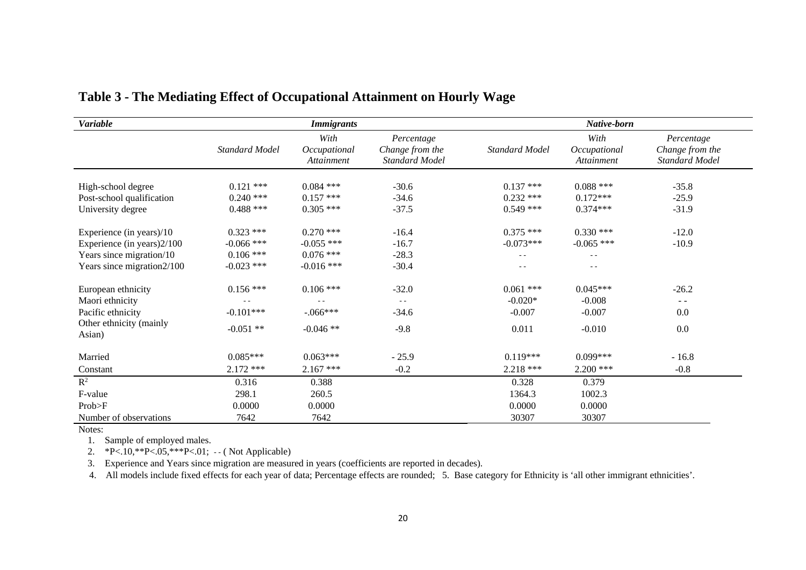| Variable                                                                                                          | <b>Immigrants</b>                                          |                                                            |                                                        | Native-born                                   |                                                      |                                                        |
|-------------------------------------------------------------------------------------------------------------------|------------------------------------------------------------|------------------------------------------------------------|--------------------------------------------------------|-----------------------------------------------|------------------------------------------------------|--------------------------------------------------------|
|                                                                                                                   | <b>Standard Model</b>                                      | With<br>Occupational<br>Attainment                         | Percentage<br>Change from the<br><b>Standard Model</b> | <b>Standard Model</b>                         | With<br>Occupational<br>Attainment                   | Percentage<br>Change from the<br><b>Standard Model</b> |
| High-school degree<br>Post-school qualification<br>University degree                                              | $0.121$ ***<br>$0.240$ ***<br>$0.488$ ***                  | $0.084$ ***<br>$0.157$ ***<br>$0.305$ ***                  | $-30.6$<br>$-34.6$<br>$-37.5$                          | $0.137$ ***<br>$0.232$ ***<br>$0.549$ ***     | $0.088$ ***<br>$0.172***$<br>$0.374***$              | $-35.8$<br>$-25.9$<br>$-31.9$                          |
| Experience (in years)/10<br>Experience (in years) 2/100<br>Years since migration/10<br>Years since migration2/100 | $0.323$ ***<br>$-0.066$ ***<br>$0.106$ ***<br>$-0.023$ *** | $0.270$ ***<br>$-0.055$ ***<br>$0.076$ ***<br>$-0.016$ *** | $-16.4$<br>$-16.7$<br>$-28.3$<br>$-30.4$               | $0.375$ ***<br>$-0.073***$<br>$\sim$ $\sim$   | $0.330$ ***<br>$-0.065$ ***<br>$\sim$ $\sim$<br>$ -$ | $-12.0$<br>$-10.9$                                     |
| European ethnicity<br>Maori ethnicity<br>Pacific ethnicity<br>Other ethnicity (mainly<br>Asian)                   | $0.156***$<br>$-0.101***$<br>$-0.051$ **                   | $0.106$ ***<br>$-.066***$<br>$-0.046**$                    | $-32.0$<br>$-$<br>$-34.6$<br>$-9.8$                    | $0.061$ ***<br>$-0.020*$<br>$-0.007$<br>0.011 | $0.045***$<br>$-0.008$<br>$-0.007$<br>$-0.010$       | $-26.2$<br>$\frac{1}{2}$<br>0.0<br>0.0                 |
| Married<br>Constant                                                                                               | $0.085***$<br>$2.172$ ***                                  | $0.063***$<br>$2.167$ ***                                  | $-25.9$<br>$-0.2$                                      | $0.119***$<br>$2.218$ ***                     | $0.099***$<br>$2.200$ ***                            | $-16.8$<br>$-0.8$                                      |
| $\mathbb{R}^2$<br>F-value<br>Prob>F<br>Number of observations                                                     | 0.316<br>298.1<br>0.0000<br>7642                           | 0.388<br>260.5<br>0.0000<br>7642                           |                                                        | 0.328<br>1364.3<br>0.0000<br>30307            | 0.379<br>1002.3<br>0.0000<br>30307                   |                                                        |

#### **Table 3 - The Mediating Effect of Occupational Attainment on Hourly Wage**

Notes:

1. Sample of employed males.

2. \*P<.10,\*\*P<.05,\*\*\*P<.01; - - ( Not Applicable)

3. Experience and Years since migration are measured in years (coefficients are reported in decades).

4. All models include fixed effects for each year of data; Percentage effects are rounded; 5. Base category for Ethnicity is 'all other immigrant ethnicities'.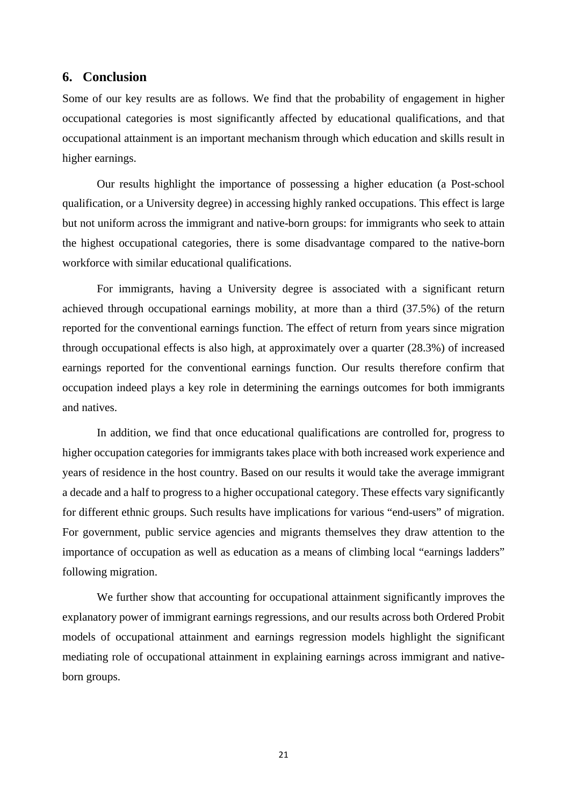#### **6. Conclusion**

Some of our key results are as follows. We find that the probability of engagement in higher occupational categories is most significantly affected by educational qualifications, and that occupational attainment is an important mechanism through which education and skills result in higher earnings.

Our results highlight the importance of possessing a higher education (a Post-school qualification, or a University degree) in accessing highly ranked occupations. This effect is large but not uniform across the immigrant and native-born groups: for immigrants who seek to attain the highest occupational categories, there is some disadvantage compared to the native-born workforce with similar educational qualifications.

For immigrants, having a University degree is associated with a significant return achieved through occupational earnings mobility, at more than a third (37.5%) of the return reported for the conventional earnings function. The effect of return from years since migration through occupational effects is also high, at approximately over a quarter (28.3%) of increased earnings reported for the conventional earnings function. Our results therefore confirm that occupation indeed plays a key role in determining the earnings outcomes for both immigrants and natives.

In addition, we find that once educational qualifications are controlled for, progress to higher occupation categories for immigrants takes place with both increased work experience and years of residence in the host country. Based on our results it would take the average immigrant a decade and a half to progress to a higher occupational category. These effects vary significantly for different ethnic groups. Such results have implications for various "end-users" of migration. For government, public service agencies and migrants themselves they draw attention to the importance of occupation as well as education as a means of climbing local "earnings ladders" following migration.

We further show that accounting for occupational attainment significantly improves the explanatory power of immigrant earnings regressions, and our results across both Ordered Probit models of occupational attainment and earnings regression models highlight the significant mediating role of occupational attainment in explaining earnings across immigrant and nativeborn groups.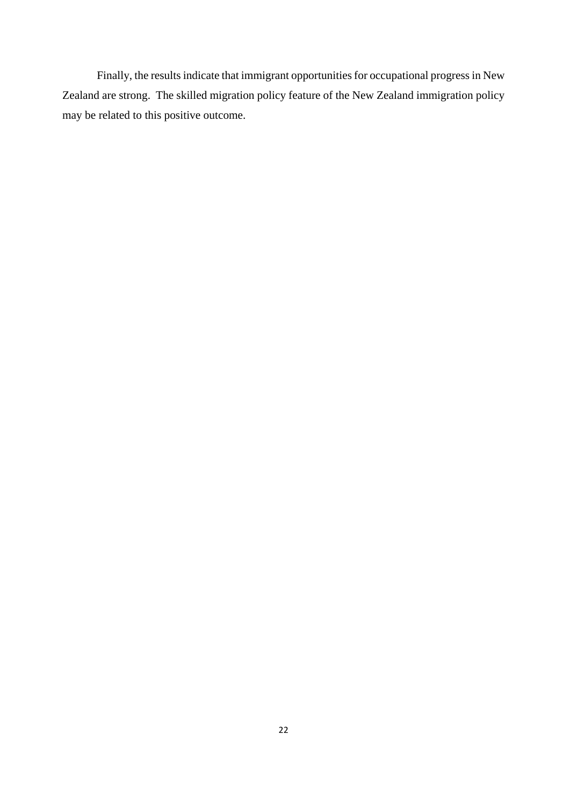Finally, the results indicate that immigrant opportunities for occupational progress in New Zealand are strong. The skilled migration policy feature of the New Zealand immigration policy may be related to this positive outcome.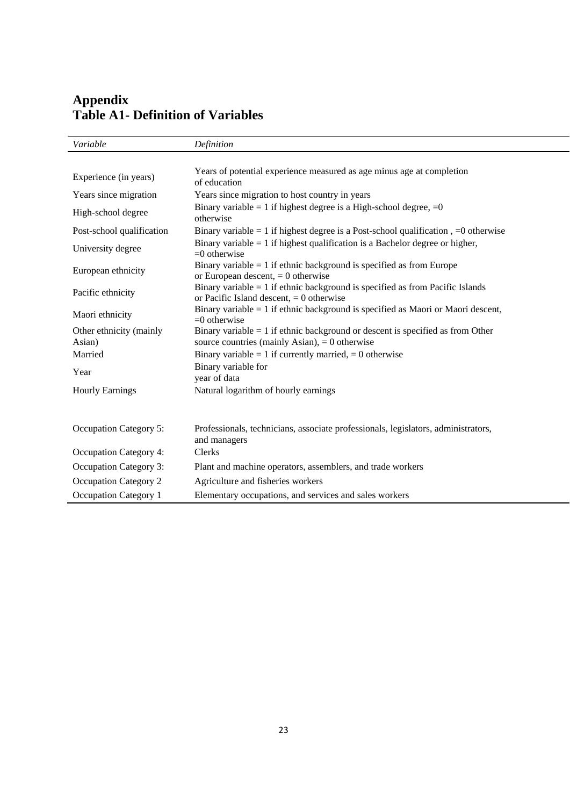# **Appendix Table A1- Definition of Variables**

| Variable                      | Definition                                                                                                                  |
|-------------------------------|-----------------------------------------------------------------------------------------------------------------------------|
|                               |                                                                                                                             |
| Experience (in years)         | Years of potential experience measured as age minus age at completion<br>of education                                       |
| Years since migration         | Years since migration to host country in years                                                                              |
| High-school degree            | Binary variable = 1 if highest degree is a High-school degree, $=0$<br>otherwise                                            |
| Post-school qualification     | Binary variable = 1 if highest degree is a Post-school qualification, $=0$ otherwise                                        |
| University degree             | Binary variable $= 1$ if highest qualification is a Bachelor degree or higher,<br>$=0$ otherwise                            |
| European ethnicity            | Binary variable $= 1$ if ethnic background is specified as from Europe<br>or European descent, $= 0$ otherwise              |
| Pacific ethnicity             | Binary variable = 1 if ethnic background is specified as from Pacific Islands<br>or Pacific Island descent, $= 0$ otherwise |
| Maori ethnicity               | Binary variable $= 1$ if ethnic background is specified as Maori or Maori descent,<br>$=0$ otherwise                        |
| Other ethnicity (mainly       | Binary variable $= 1$ if ethnic background or descent is specified as from Other                                            |
| Asian)                        | source countries (mainly Asian), $= 0$ otherwise                                                                            |
| Married                       | Binary variable = 1 if currently married, = 0 otherwise                                                                     |
| Year                          | Binary variable for<br>year of data                                                                                         |
| <b>Hourly Earnings</b>        | Natural logarithm of hourly earnings                                                                                        |
|                               |                                                                                                                             |
| <b>Occupation Category 5:</b> | Professionals, technicians, associate professionals, legislators, administrators,<br>and managers                           |
| Occupation Category 4:        | <b>Clerks</b>                                                                                                               |
| <b>Occupation Category 3:</b> | Plant and machine operators, assemblers, and trade workers                                                                  |
| Occupation Category 2         | Agriculture and fisheries workers                                                                                           |
| <b>Occupation Category 1</b>  | Elementary occupations, and services and sales workers                                                                      |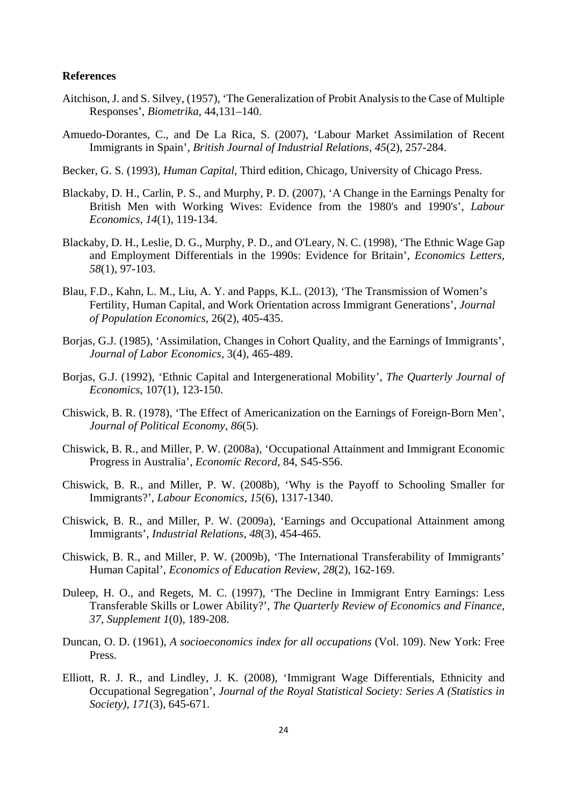#### **References**

- Aitchison, J. and S. Silvey, (1957), 'The Generalization of Probit Analysis to the Case of Multiple Responses', *Biometrika*, 44,131–140.
- Amuedo-Dorantes, C., and De La Rica, S. (2007), 'Labour Market Assimilation of Recent Immigrants in Spain', *British Journal of Industrial Relations, 45*(2), 257-284.
- Becker, G. S. (1993), *Human Capital,* Third edition, Chicago, University of Chicago Press.
- Blackaby, D. H., Carlin, P. S., and Murphy, P. D. (2007), 'A Change in the Earnings Penalty for British Men with Working Wives: Evidence from the 1980's and 1990's', *Labour Economics, 14*(1), 119-134.
- Blackaby, D. H., Leslie, D. G., Murphy, P. D., and O'Leary, N. C. (1998), 'The Ethnic Wage Gap and Employment Differentials in the 1990s: Evidence for Britain', *Economics Letters, 58*(1), 97-103.
- Blau, F.D., Kahn, L. M., Liu, A. Y. and Papps, K.L. (2013), 'The Transmission of Women's Fertility, Human Capital, and Work Orientation across Immigrant Generations', *Journal of Population Economics*, 26(2), 405-435.
- Borjas, G.J. (1985), 'Assimilation, Changes in Cohort Quality, and the Earnings of Immigrants', *Journal of Labor Economics*, 3(4), 465-489.
- Borjas, G.J. (1992), 'Ethnic Capital and Intergenerational Mobility', *The Quarterly Journal of Economics*, 107(1), 123-150.
- Chiswick, B. R. (1978), 'The Effect of Americanization on the Earnings of Foreign-Born Men', *Journal of Political Economy, 86*(5).
- Chiswick, B. R., and Miller, P. W. (2008a), 'Occupational Attainment and Immigrant Economic Progress in Australia', *Economic Record*, 84, S45-S56.
- Chiswick, B. R., and Miller, P. W. (2008b), 'Why is the Payoff to Schooling Smaller for Immigrants?', *Labour Economics, 15*(6), 1317-1340.
- Chiswick, B. R., and Miller, P. W. (2009a), 'Earnings and Occupational Attainment among Immigrants', *Industrial Relations*, *48*(3), 454-465.
- Chiswick, B. R., and Miller, P. W. (2009b), 'The International Transferability of Immigrants' Human Capital', *Economics of Education Review, 28*(2), 162-169.
- Duleep, H. O., and Regets, M. C. (1997), 'The Decline in Immigrant Entry Earnings: Less Transferable Skills or Lower Ability?', *The Quarterly Review of Economics and Finance, 37, Supplement 1*(0), 189-208.
- Duncan, O. D. (1961), *A socioeconomics index for all occupations* (Vol. 109). New York: Free Press.
- Elliott, R. J. R., and Lindley, J. K. (2008), 'Immigrant Wage Differentials, Ethnicity and Occupational Segregation', *Journal of the Royal Statistical Society: Series A (Statistics in Society), 171*(3), 645-671.